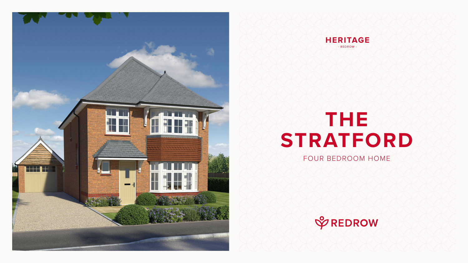# **THE STRATFORD** FOUR BEDROOM HOME







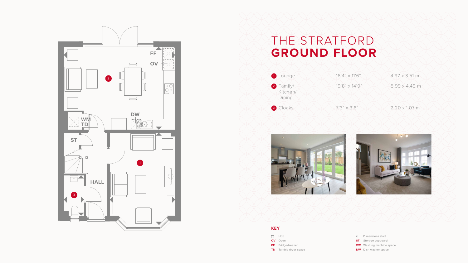### THE STRATFORD **GROUND FLOOR**





- Dimensions start
- **ST** Storage cupboard
- **WM** Washing machine space
- **DW** Dish washer space





#### **KEY**

- **SO** Hob
- **OV** Oven
- **FF** Fridge/freezer
- **TD** Tumble dryer space